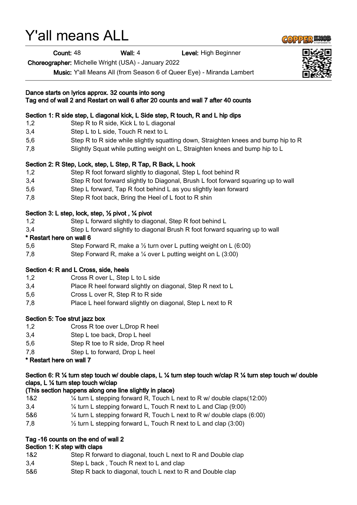# Y'all means ALL

Count: 48 Wall: 4 Level: High Beginner

Choreographer: Michelle Wright (USA) - January 2022

Music: Y'all Means All (from Season 6 of Queer Eye) - Miranda Lambert

| Dance starts on lyrics approx. 32 counts into song<br>Tag end of wall 2 and Restart on wall 6 after 20 counts and wall 7 after 40 counts |                                                                                                                                                 |  |
|------------------------------------------------------------------------------------------------------------------------------------------|-------------------------------------------------------------------------------------------------------------------------------------------------|--|
|                                                                                                                                          | Section 1: R side step, L diagonal kick, L Side step, R touch, R and L hip dips                                                                 |  |
| 1,2                                                                                                                                      | Step R to R side, Kick L to L diagonal                                                                                                          |  |
| 3,4                                                                                                                                      | Step L to L side, Touch R next to L                                                                                                             |  |
| 5,6                                                                                                                                      | Step R to R side while slightly squatting down, Straighten knees and bump hip to R                                                              |  |
| 7,8                                                                                                                                      | Slightly Squat while putting weight on L, Straighten knees and bump hip to L                                                                    |  |
|                                                                                                                                          | Section 2: R Step, Lock, step, L Step, R Tap, R Back, L hook                                                                                    |  |
| 1,2                                                                                                                                      | Step R foot forward slightly to diagonal, Step L foot behind R                                                                                  |  |
| 3,4                                                                                                                                      | Step R foot forward slightly to Diagonal, Brush L foot forward squaring up to wall                                                              |  |
| 5,6                                                                                                                                      | Step L forward, Tap R foot behind L as you slightly lean forward                                                                                |  |
| 7,8                                                                                                                                      | Step R foot back, Bring the Heel of L foot to R shin                                                                                            |  |
|                                                                                                                                          | Section 3: L step, lock, step, $\frac{1}{2}$ pivot, $\frac{1}{4}$ pivot                                                                         |  |
| 1,2                                                                                                                                      | Step L forward slightly to diagonal, Step R foot behind L                                                                                       |  |
| 3,4                                                                                                                                      | Step L forward slightly to diagonal Brush R foot forward squaring up to wall                                                                    |  |
|                                                                                                                                          | * Restart here on wall 6                                                                                                                        |  |
| 5,6                                                                                                                                      | Step Forward R, make a $\frac{1}{2}$ turn over L putting weight on L (6:00)                                                                     |  |
| 7,8                                                                                                                                      | Step Forward R, make a $\frac{1}{4}$ over L putting weight on L (3:00)                                                                          |  |
|                                                                                                                                          | Section 4: R and L Cross, side, heels                                                                                                           |  |
| 1,2                                                                                                                                      | Cross R over L, Step L to L side                                                                                                                |  |
| 3,4                                                                                                                                      | Place R heel forward slightly on diagonal, Step R next to L                                                                                     |  |
| 5,6                                                                                                                                      | Cross L over R, Step R to R side                                                                                                                |  |
| 7,8                                                                                                                                      | Place L heel forward slightly on diagonal, Step L next to R                                                                                     |  |
|                                                                                                                                          | Section 5: Toe strut jazz box                                                                                                                   |  |
| 1,2                                                                                                                                      | Cross R toe over L, Drop R heel                                                                                                                 |  |
| 3,4                                                                                                                                      | Step L toe back, Drop L heel                                                                                                                    |  |
| 5,6                                                                                                                                      | Step R toe to R side, Drop R heel                                                                                                               |  |
| 7,8                                                                                                                                      | Step L to forward, Drop L heel                                                                                                                  |  |
|                                                                                                                                          | * Restart here on wall 7                                                                                                                        |  |
|                                                                                                                                          | Section 6: R ¼ turn step touch w/ double claps, L ¼ turn step touch w/clap R ¼ turn step touch w/ double<br>claps, L 1/4 turn step touch w/clap |  |
|                                                                                                                                          | (This section happens along one line slightly in place)                                                                                         |  |
| 1&2                                                                                                                                      | $\frac{1}{4}$ turn L stepping forward R, Touch L next to R w/ double claps(12:00)                                                               |  |
| 3,4                                                                                                                                      | 1/4 turn L stepping forward L, Touch R next to L and Clap (9:00)                                                                                |  |
| 5&6                                                                                                                                      | 1/4 turn L stepping forward R, Touch L next to R w/ double claps (6:00)                                                                         |  |

7,8 ½ turn L stepping forward L, Touch R next to L and clap (3:00)

## Tag -16 counts on the end of wall 2

#### Section 1: K step with claps

- 1&2 Step R forward to diagonal, touch L next to R and Double clap
- 3,4 Step L back , Touch R next to L and clap
- 5&6 Step R back to diagonal, touch L next to R and Double clap